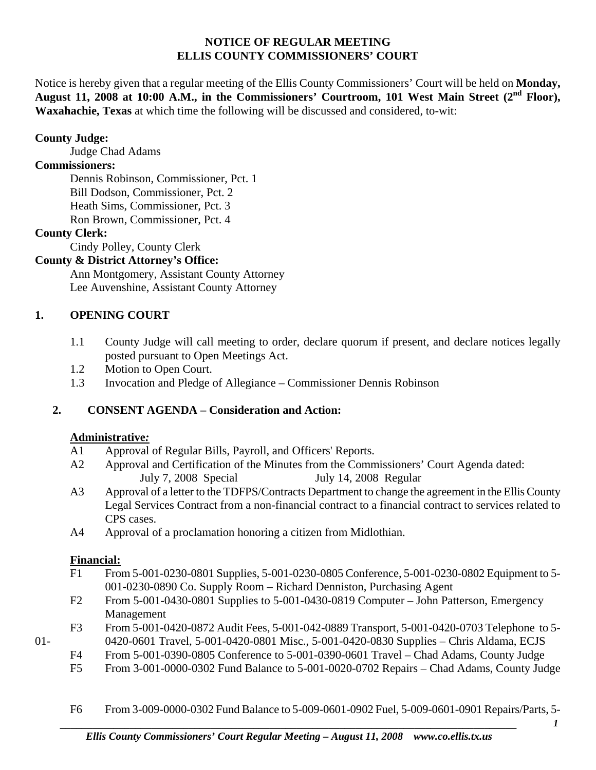### **NOTICE OF REGULAR MEETING ELLIS COUNTY COMMISSIONERS' COURT**

Notice is hereby given that a regular meeting of the Ellis County Commissioners' Court will be held on **Monday,**  August 11, 2008 at 10:00 A.M., in the Commissioners' Courtroom, 101 West Main Street (2<sup>nd</sup> Floor), **Waxahachie, Texas** at which time the following will be discussed and considered, to-wit:

### **County Judge:**

Judge Chad Adams

### **Commissioners:**

 Dennis Robinson, Commissioner, Pct. 1 Bill Dodson, Commissioner, Pct. 2 Heath Sims, Commissioner, Pct. 3 Ron Brown, Commissioner, Pct. 4

# **County Clerk:**

Cindy Polley, County Clerk

# **County & District Attorney's Office:**

 Ann Montgomery, Assistant County Attorney Lee Auvenshine, Assistant County Attorney

# **1. OPENING COURT**

- 1.1 County Judge will call meeting to order, declare quorum if present, and declare notices legally posted pursuant to Open Meetings Act.
- 1.2 Motion to Open Court.
- 1.3 Invocation and Pledge of Allegiance Commissioner Dennis Robinson

# **2. CONSENT AGENDA – Consideration and Action:**

#### **Administrative***:*

- A1 Approval of Regular Bills, Payroll, and Officers' Reports.
- A2 Approval and Certification of the Minutes from the Commissioners' Court Agenda dated: July 7, 2008 Special July 14, 2008 Regular
- A3 Approval of a letter to the TDFPS/Contracts Department to change the agreement in the Ellis County Legal Services Contract from a non-financial contract to a financial contract to services related to CPS cases.
- A4 Approval of a proclamation honoring a citizen from Midlothian.

# **Financial:**

- F1 From 5-001-0230-0801 Supplies, 5-001-0230-0805 Conference, 5-001-0230-0802 Equipment to 5- 001-0230-0890 Co. Supply Room – Richard Denniston, Purchasing Agent
- F2 From 5-001-0430-0801 Supplies to 5-001-0430-0819 Computer John Patterson, Emergency Management
- F3 From 5-001-0420-0872 Audit Fees, 5-001-042-0889 Transport, 5-001-0420-0703 Telephone to 5- 01- 0420-0601 Travel, 5-001-0420-0801 Misc., 5-001-0420-0830 Supplies – Chris Aldama, ECJS
	- F4 From 5-001-0390-0805 Conference to 5-001-0390-0601 Travel Chad Adams, County Judge
	- F5 From 3-001-0000-0302 Fund Balance to 5-001-0020-0702 Repairs Chad Adams, County Judge
	- F6 From 3-009-0000-0302 Fund Balance to 5-009-0601-0902 Fuel, 5-009-0601-0901 Repairs/Parts, 5-

*<sup>1</sup>*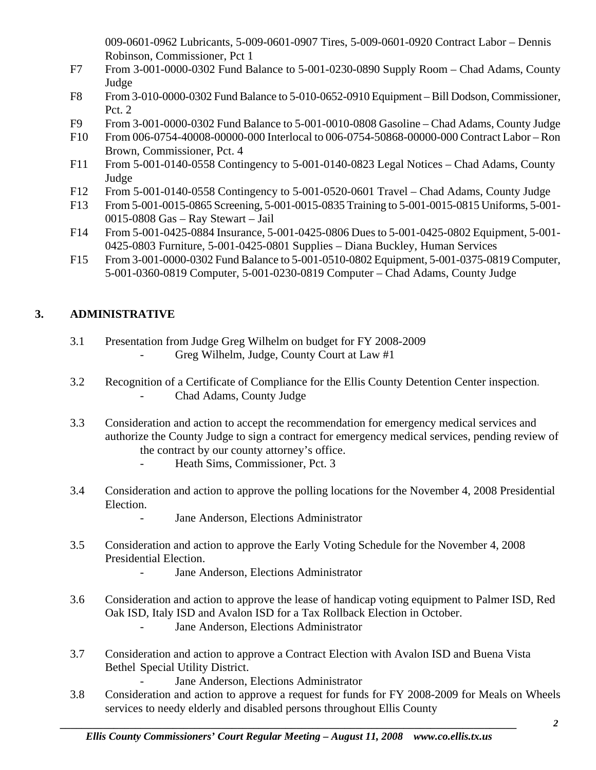009-0601-0962 Lubricants, 5-009-0601-0907 Tires, 5-009-0601-0920 Contract Labor – Dennis Robinson, Commissioner, Pct 1

- F7 From 3-001-0000-0302 Fund Balance to 5-001-0230-0890 Supply Room Chad Adams, County Judge
- F8 From 3-010-0000-0302 Fund Balance to 5-010-0652-0910 Equipment Bill Dodson, Commissioner, Pct. 2
- F9 From 3-001-0000-0302 Fund Balance to 5-001-0010-0808 Gasoline Chad Adams, County Judge
- F10 From 006-0754-40008-00000-000 Interlocal to 006-0754-50868-00000-000 Contract Labor Ron Brown, Commissioner, Pct. 4
- F11 From 5-001-0140-0558 Contingency to 5-001-0140-0823 Legal Notices Chad Adams, County Judge
- F12 From 5-001-0140-0558 Contingency to 5-001-0520-0601 Travel Chad Adams, County Judge
- F13 From 5-001-0015-0865 Screening, 5-001-0015-0835 Training to 5-001-0015-0815 Uniforms, 5-001- 0015-0808 Gas – Ray Stewart – Jail
- F14 From 5-001-0425-0884 Insurance, 5-001-0425-0806 Dues to 5-001-0425-0802 Equipment, 5-001- 0425-0803 Furniture, 5-001-0425-0801 Supplies – Diana Buckley, Human Services
- F15 From 3-001-0000-0302 Fund Balance to 5-001-0510-0802 Equipment, 5-001-0375-0819 Computer, 5-001-0360-0819 Computer, 5-001-0230-0819 Computer – Chad Adams, County Judge

# **3. ADMINISTRATIVE**

- 3.1 Presentation from Judge Greg Wilhelm on budget for FY 2008-2009
	- Greg Wilhelm, Judge, County Court at Law #1
- 3.2 Recognition of a Certificate of Compliance for the Ellis County Detention Center inspection. - Chad Adams, County Judge
- 3.3 Consideration and action to accept the recommendation for emergency medical services and authorize the County Judge to sign a contract for emergency medical services, pending review of the contract by our county attorney's office.
	- Heath Sims, Commissioner, Pct. 3
- 3.4 Consideration and action to approve the polling locations for the November 4, 2008 Presidential Election.
	- Jane Anderson, Elections Administrator
- 3.5 Consideration and action to approve the Early Voting Schedule for the November 4, 2008 Presidential Election.
	- Jane Anderson, Elections Administrator
- 3.6 Consideration and action to approve the lease of handicap voting equipment to Palmer ISD, Red Oak ISD, Italy ISD and Avalon ISD for a Tax Rollback Election in October.
	- Jane Anderson, Elections Administrator
- 3.7 Consideration and action to approve a Contract Election with Avalon ISD and Buena Vista Bethel Special Utility District.
	- Jane Anderson, Elections Administrator
- 3.8 Consideration and action to approve a request for funds for FY 2008-2009 for Meals on Wheels services to needy elderly and disabled persons throughout Ellis County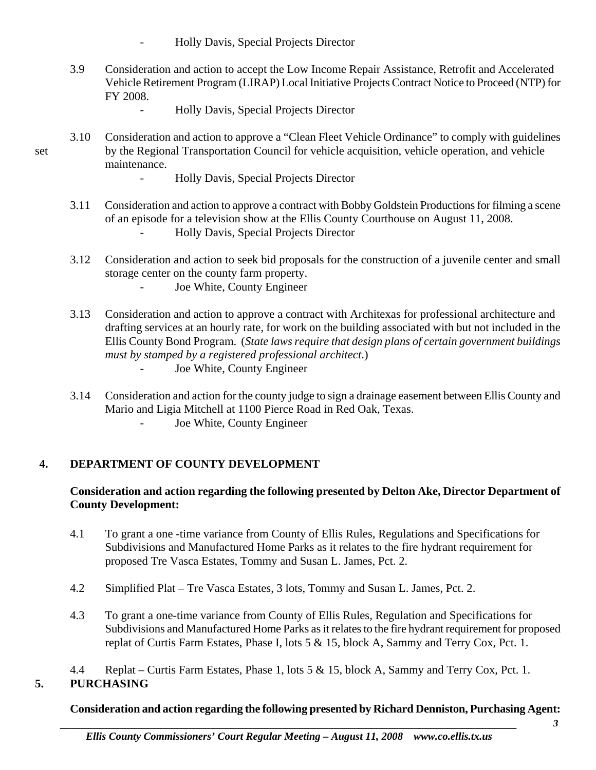- Holly Davis, Special Projects Director
- 3.9 Consideration and action to accept the Low Income Repair Assistance, Retrofit and Accelerated Vehicle Retirement Program (LIRAP) Local Initiative Projects Contract Notice to Proceed (NTP) for FY 2008.
	- Holly Davis, Special Projects Director
- 3.10 Consideration and action to approve a "Clean Fleet Vehicle Ordinance" to comply with guidelines set by the Regional Transportation Council for vehicle acquisition, vehicle operation, and vehicle maintenance.
	- Holly Davis, Special Projects Director
	- 3.11 Consideration and action to approve a contract with Bobby Goldstein Productions for filming a scene of an episode for a television show at the Ellis County Courthouse on August 11, 2008. - Holly Davis, Special Projects Director
	- 3.12 Consideration and action to seek bid proposals for the construction of a juvenile center and small storage center on the county farm property.
		- Joe White, County Engineer
	- 3.13 Consideration and action to approve a contract with Architexas for professional architecture and drafting services at an hourly rate, for work on the building associated with but not included in the Ellis County Bond Program. (*State laws require that design plans of certain government buildings must by stamped by a registered professional architect*.) **Joe White, County Engineer**
	- 3.14 Consideration and action for the county judge to sign a drainage easement between Ellis County and Mario and Ligia Mitchell at 1100 Pierce Road in Red Oak, Texas.
		- Joe White, County Engineer

# **4. DEPARTMENT OF COUNTY DEVELOPMENT**

### **Consideration and action regarding the following presented by Delton Ake, Director Department of County Development:**

- 4.1 To grant a one -time variance from County of Ellis Rules, Regulations and Specifications for Subdivisions and Manufactured Home Parks as it relates to the fire hydrant requirement for proposed Tre Vasca Estates, Tommy and Susan L. James, Pct. 2.
- 4.2 Simplified Plat Tre Vasca Estates, 3 lots, Tommy and Susan L. James, Pct. 2.
- 4.3 To grant a one-time variance from County of Ellis Rules, Regulation and Specifications for Subdivisions and Manufactured Home Parks as it relates to the fire hydrant requirement for proposed replat of Curtis Farm Estates, Phase I, lots 5 & 15, block A, Sammy and Terry Cox, Pct. 1.
- 4.4 Replat Curtis Farm Estates, Phase 1, lots 5 & 15, block A, Sammy and Terry Cox, Pct. 1. **5. PURCHASING**

# **Consideration and action regarding the following presented by Richard Denniston, Purchasing Agent:**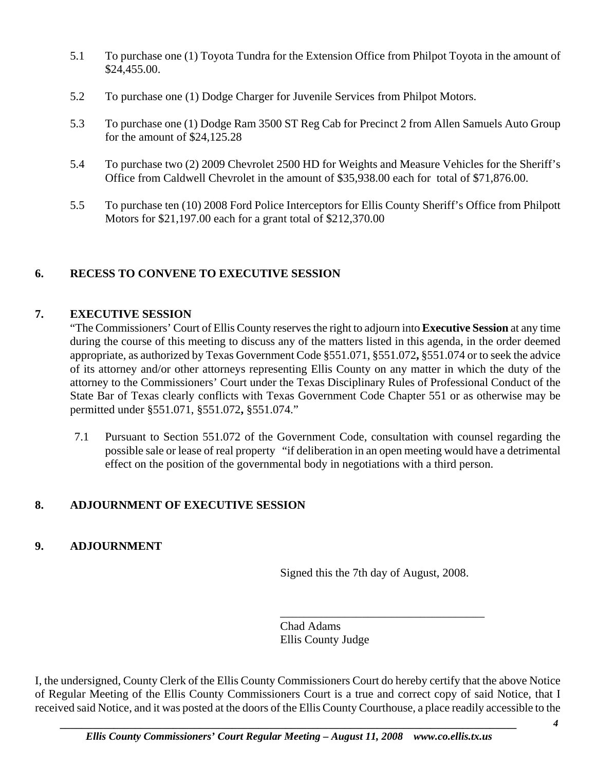- 5.1 To purchase one (1) Toyota Tundra for the Extension Office from Philpot Toyota in the amount of \$24,455.00.
- 5.2 To purchase one (1) Dodge Charger for Juvenile Services from Philpot Motors.
- 5.3 To purchase one (1) Dodge Ram 3500 ST Reg Cab for Precinct 2 from Allen Samuels Auto Group for the amount of \$24,125.28
- 5.4 To purchase two (2) 2009 Chevrolet 2500 HD for Weights and Measure Vehicles for the Sheriff's Office from Caldwell Chevrolet in the amount of \$35,938.00 each for total of \$71,876.00.
- 5.5 To purchase ten (10) 2008 Ford Police Interceptors for Ellis County Sheriff's Office from Philpott Motors for \$21,197.00 each for a grant total of \$212,370.00

# **6. RECESS TO CONVENE TO EXECUTIVE SESSION**

### **7. EXECUTIVE SESSION**

"The Commissioners' Court of Ellis County reserves the right to adjourn into **Executive Session** at any time during the course of this meeting to discuss any of the matters listed in this agenda, in the order deemed appropriate, as authorized by Texas Government Code §551.071, §551.072**,** §551.074 or to seek the advice of its attorney and/or other attorneys representing Ellis County on any matter in which the duty of the attorney to the Commissioners' Court under the Texas Disciplinary Rules of Professional Conduct of the State Bar of Texas clearly conflicts with Texas Government Code Chapter 551 or as otherwise may be permitted under §551.071, §551.072**,** §551.074."

7.1 Pursuant to Section 551.072 of the Government Code, consultation with counsel regarding the possible sale or lease of real property "if deliberation in an open meeting would have a detrimental effect on the position of the governmental body in negotiations with a third person.

# **8. ADJOURNMENT OF EXECUTIVE SESSION**

# **9. ADJOURNMENT**

Signed this the 7th day of August, 2008.

\_\_\_\_\_\_\_\_\_\_\_\_\_\_\_\_\_\_\_\_\_\_\_\_\_\_\_\_\_\_\_\_\_\_\_

Chad Adams Ellis County Judge

I, the undersigned, County Clerk of the Ellis County Commissioners Court do hereby certify that the above Notice of Regular Meeting of the Ellis County Commissioners Court is a true and correct copy of said Notice, that I received said Notice, and it was posted at the doors of the Ellis County Courthouse, a place readily accessible to the